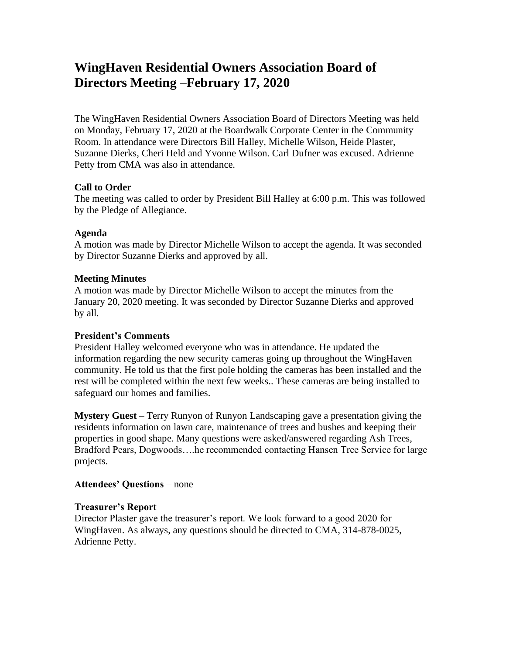# **WingHaven Residential Owners Association Board of Directors Meeting –February 17, 2020**

The WingHaven Residential Owners Association Board of Directors Meeting was held on Monday, February 17, 2020 at the Boardwalk Corporate Center in the Community Room. In attendance were Directors Bill Halley, Michelle Wilson, Heide Plaster, Suzanne Dierks, Cheri Held and Yvonne Wilson. Carl Dufner was excused. Adrienne Petty from CMA was also in attendance.

## **Call to Order**

The meeting was called to order by President Bill Halley at 6:00 p.m. This was followed by the Pledge of Allegiance.

## **Agenda**

A motion was made by Director Michelle Wilson to accept the agenda. It was seconded by Director Suzanne Dierks and approved by all.

## **Meeting Minutes**

A motion was made by Director Michelle Wilson to accept the minutes from the January 20, 2020 meeting. It was seconded by Director Suzanne Dierks and approved by all.

## **President's Comments**

President Halley welcomed everyone who was in attendance. He updated the information regarding the new security cameras going up throughout the WingHaven community. He told us that the first pole holding the cameras has been installed and the rest will be completed within the next few weeks.. These cameras are being installed to safeguard our homes and families.

**Mystery Guest** – Terry Runyon of Runyon Landscaping gave a presentation giving the residents information on lawn care, maintenance of trees and bushes and keeping their properties in good shape. Many questions were asked/answered regarding Ash Trees, Bradford Pears, Dogwoods….he recommended contacting Hansen Tree Service for large projects.

## **Attendees' Questions** – none

## **Treasurer's Report**

Director Plaster gave the treasurer's report. We look forward to a good 2020 for WingHaven. As always, any questions should be directed to CMA, 314-878-0025, Adrienne Petty.